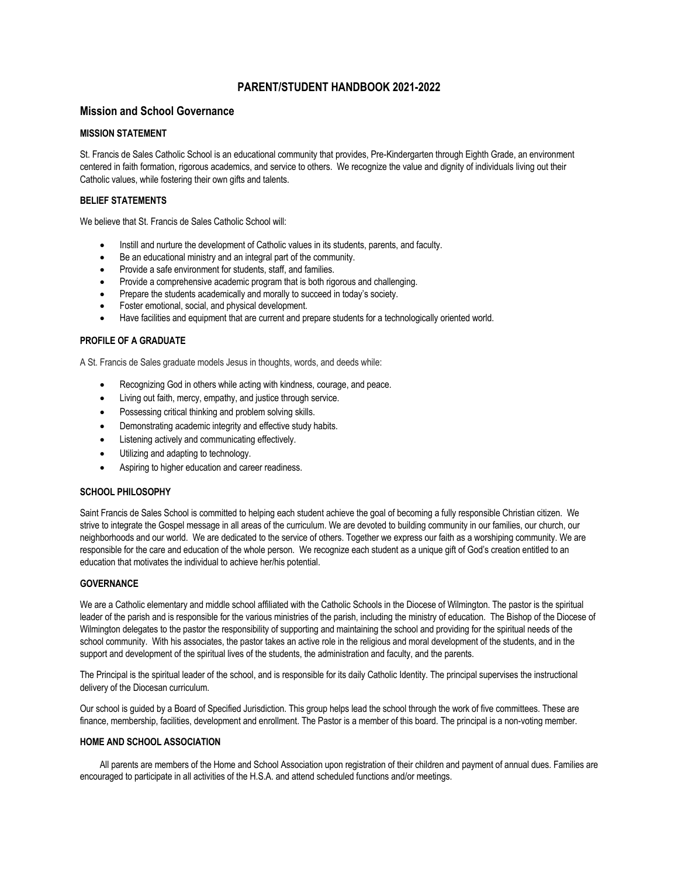# **PARENT/STUDENT HANDBOOK 2021-2022**

# **Mission and School Governance**

## **MISSION STATEMENT**

St. Francis de Sales Catholic School is an educational community that provides, Pre-Kindergarten through Eighth Grade, an environment centered in faith formation, rigorous academics, and service to others. We recognize the value and dignity of individuals living out their Catholic values, while fostering their own gifts and talents.

# **BELIEF STATEMENTS**

We believe that St. Francis de Sales Catholic School will:

- Instill and nurture the development of Catholic values in its students, parents, and faculty.
- Be an educational ministry and an integral part of the community.
- Provide a safe environment for students, staff, and families.
- Provide a comprehensive academic program that is both rigorous and challenging.
- Prepare the students academically and morally to succeed in today's society.
- Foster emotional, social, and physical development.
- Have facilities and equipment that are current and prepare students for a technologically oriented world.

# **PROFILE OF A GRADUATE**

A St. Francis de Sales graduate models Jesus in thoughts, words, and deeds while:

- Recognizing God in others while acting with kindness, courage, and peace.
- Living out faith, mercy, empathy, and justice through service.
- Possessing critical thinking and problem solving skills.
- Demonstrating academic integrity and effective study habits.
- Listening actively and communicating effectively.
- Utilizing and adapting to technology.
- Aspiring to higher education and career readiness.

# **SCHOOL PHILOSOPHY**

Saint Francis de Sales School is committed to helping each student achieve the goal of becoming a fully responsible Christian citizen. We strive to integrate the Gospel message in all areas of the curriculum. We are devoted to building community in our families, our church, our neighborhoods and our world. We are dedicated to the service of others. Together we express our faith as a worshiping community. We are responsible for the care and education of the whole person. We recognize each student as a unique gift of God's creation entitled to an education that motivates the individual to achieve her/his potential.

# **GOVERNANCE**

We are a Catholic elementary and middle school affiliated with the Catholic Schools in the Diocese of Wilmington. The pastor is the spiritual leader of the parish and is responsible for the various ministries of the parish, including the ministry of education. The Bishop of the Diocese of Wilmington delegates to the pastor the responsibility of supporting and maintaining the school and providing for the spiritual needs of the school community. With his associates, the pastor takes an active role in the religious and moral development of the students, and in the support and development of the spiritual lives of the students, the administration and faculty, and the parents.

The Principal is the spiritual leader of the school, and is responsible for its daily Catholic Identity. The principal supervises the instructional delivery of the Diocesan curriculum.

Our school is guided by a Board of Specified Jurisdiction. This group helps lead the school through the work of five committees. These are finance, membership, facilities, development and enrollment. The Pastor is a member of this board. The principal is a non-voting member.

# **HOME AND SCHOOL ASSOCIATION**

All parents are members of the Home and School Association upon registration of their children and payment of annual dues. Families are encouraged to participate in all activities of the H.S.A. and attend scheduled functions and/or meetings.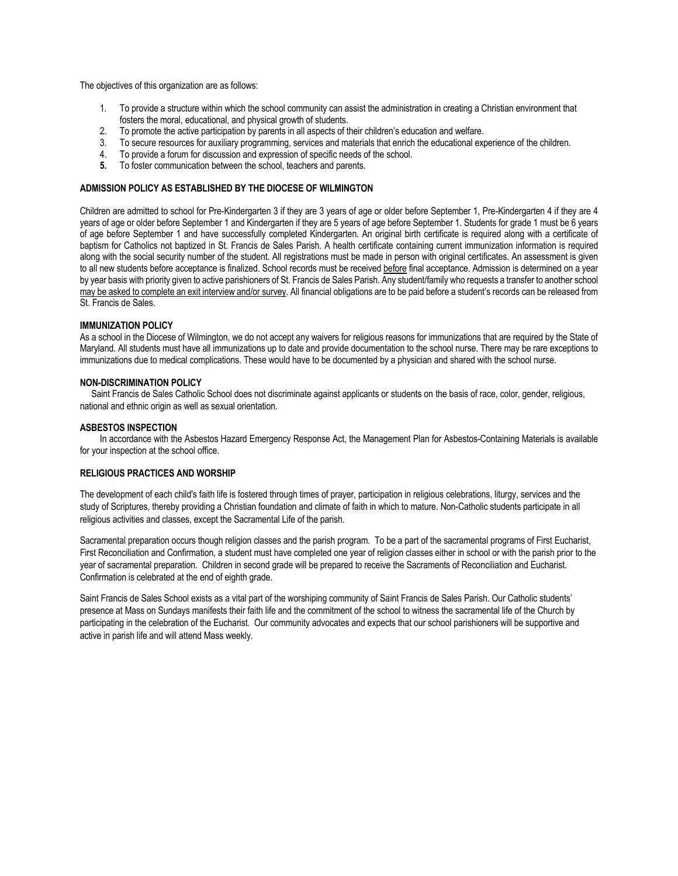The objectives of this organization are as follows:

- 1. To provide a structure within which the school community can assist the administration in creating a Christian environment that fosters the moral, educational, and physical growth of students.
- 2. To promote the active participation by parents in all aspects of their children's education and welfare.
- 3. To secure resources for auxiliary programming, services and materials that enrich the educational experience of the children.
- 4. To provide a forum for discussion and expression of specific needs of the school.
- **5.** To foster communication between the school, teachers and parents.

# **ADMISSION POLICY AS ESTABLISHED BY THE DIOCESE OF WILMINGTON**

Children are admitted to school for Pre-Kindergarten 3 if they are 3 years of age or older before September 1, Pre-Kindergarten 4 if they are 4 years of age or older before September 1 and Kindergarten if they are 5 years of age before September 1. Students for grade 1 must be 6 years of age before September 1 and have successfully completed Kindergarten. An original birth certificate is required along with a certificate of baptism for Catholics not baptized in St. Francis de Sales Parish. A health certificate containing current immunization information is required along with the social security number of the student. All registrations must be made in person with original certificates. An assessment is given to all new students before acceptance is finalized. School records must be received before final acceptance. Admission is determined on a year by year basis with priority given to active parishioners of St. Francis de Sales Parish. Any student/family who requests a transfer to another school may be asked to complete an exit interview and/or survey. All financial obligations are to be paid before a student's records can be released from St. Francis de Sales.

#### **IMMUNIZATION POLICY**

As a school in the Diocese of Wilmington, we do not accept any waivers for religious reasons for immunizations that are required by the State of Maryland. All students must have all immunizations up to date and provide documentation to the school nurse. There may be rare exceptions to immunizations due to medical complications. These would have to be documented by a physician and shared with the school nurse.

#### **NON-DISCRIMINATION POLICY**

 Saint Francis de Sales Catholic School does not discriminate against applicants or students on the basis of race, color, gender, religious, national and ethnic origin as well as sexual orientation.

#### **ASBESTOS INSPECTION**

In accordance with the Asbestos Hazard Emergency Response Act, the Management Plan for Asbestos-Containing Materials is available for your inspection at the school office.

#### **RELIGIOUS PRACTICES AND WORSHIP**

The development of each child's faith life is fostered through times of prayer, participation in religious celebrations, liturgy, services and the study of Scriptures, thereby providing a Christian foundation and climate of faith in which to mature. Non-Catholic students participate in all religious activities and classes, except the Sacramental Life of the parish.

Sacramental preparation occurs though religion classes and the parish program. To be a part of the sacramental programs of First Eucharist, First Reconciliation and Confirmation, a student must have completed one year of religion classes either in school or with the parish prior to the year of sacramental preparation. Children in second grade will be prepared to receive the Sacraments of Reconciliation and Eucharist. Confirmation is celebrated at the end of eighth grade.

Saint Francis de Sales School exists as a vital part of the worshiping community of Saint Francis de Sales Parish. Our Catholic students' presence at Mass on Sundays manifests their faith life and the commitment of the school to witness the sacramental life of the Church by participating in the celebration of the Eucharist. Our community advocates and expects that our school parishioners will be supportive and active in parish life and will attend Mass weekly.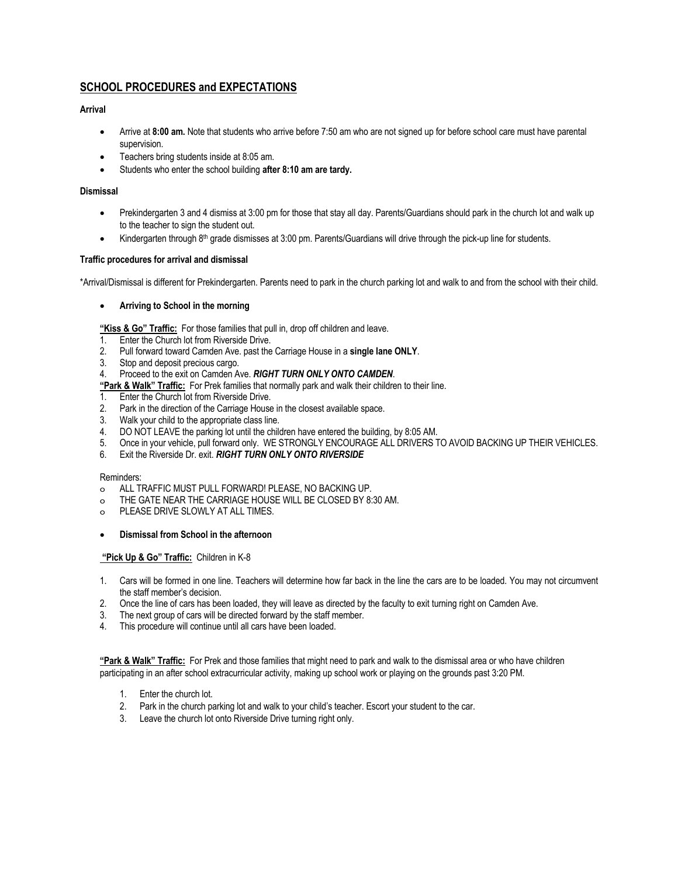# **SCHOOL PROCEDURES and EXPECTATIONS**

# **Arrival**

- Arrive at **8:00 am.** Note that students who arrive before 7:50 am who are not signed up for before school care must have parental supervision.
- Teachers bring students inside at 8:05 am.
- Students who enter the school building **after 8:10 am are tardy.**

# **Dismissal**

- Prekindergarten 3 and 4 dismiss at 3:00 pm for those that stay all day. Parents/Guardians should park in the church lot and walk up to the teacher to sign the student out.
- Kindergarten through 8th grade dismisses at 3:00 pm. Parents/Guardians will drive through the pick-up line for students.

# **Traffic procedures for arrival and dismissal**

\*Arrival/Dismissal is different for Prekindergarten. Parents need to park in the church parking lot and walk to and from the school with their child.

#### • **Arriving to School in the morning**

**"Kiss & Go" Traffic:** For those families that pull in, drop off children and leave.

- 1. Enter the Church lot from Riverside Drive.
- 2. Pull forward toward Camden Ave. past the Carriage House in a **single lane ONLY**.
- 3. Stop and deposit precious cargo.
- 4. Proceed to the exit on Camden Ave. *RIGHT TURN ONLY ONTO CAMDEN*.

**"Park & Walk" Traffic:** For Prek families that normally park and walk their children to their line.

- 1. Enter the Church lot from Riverside Drive.
- 2. Park in the direction of the Carriage House in the closest available space.
- 3. Walk your child to the appropriate class line.
- 4. DO NOT LEAVE the parking lot until the children have entered the building, by 8:05 AM.
- 5. Once in your vehicle, pull forward only. WE STRONGLY ENCOURAGE ALL DRIVERS TO AVOID BACKING UP THEIR VEHICLES.
- 6. Exit the Riverside Dr. exit. *RIGHT TURN ONLY ONTO RIVERSIDE*

#### Reminders:

- o ALL TRAFFIC MUST PULL FORWARD! PLEASE, NO BACKING UP.
- o THE GATE NEAR THE CARRIAGE HOUSE WILL BE CLOSED BY 8:30 AM.
- o PLEASE DRIVE SLOWLY AT ALL TIMES.

# • **Dismissal from School in the afternoon**

# **"Pick Up & Go" Traffic:** Children in K-8

- 1. Cars will be formed in one line. Teachers will determine how far back in the line the cars are to be loaded. You may not circumvent the staff member's decision.
- 2. Once the line of cars has been loaded, they will leave as directed by the faculty to exit turning right on Camden Ave.
- 3. The next group of cars will be directed forward by the staff member.
- 4. This procedure will continue until all cars have been loaded.

**"Park & Walk" Traffic:** For Prek and those families that might need to park and walk to the dismissal area or who have children participating in an after school extracurricular activity, making up school work or playing on the grounds past 3:20 PM.

- 1. Enter the church lot.
- 2. Park in the church parking lot and walk to your child's teacher. Escort your student to the car.
- 3. Leave the church lot onto Riverside Drive turning right only.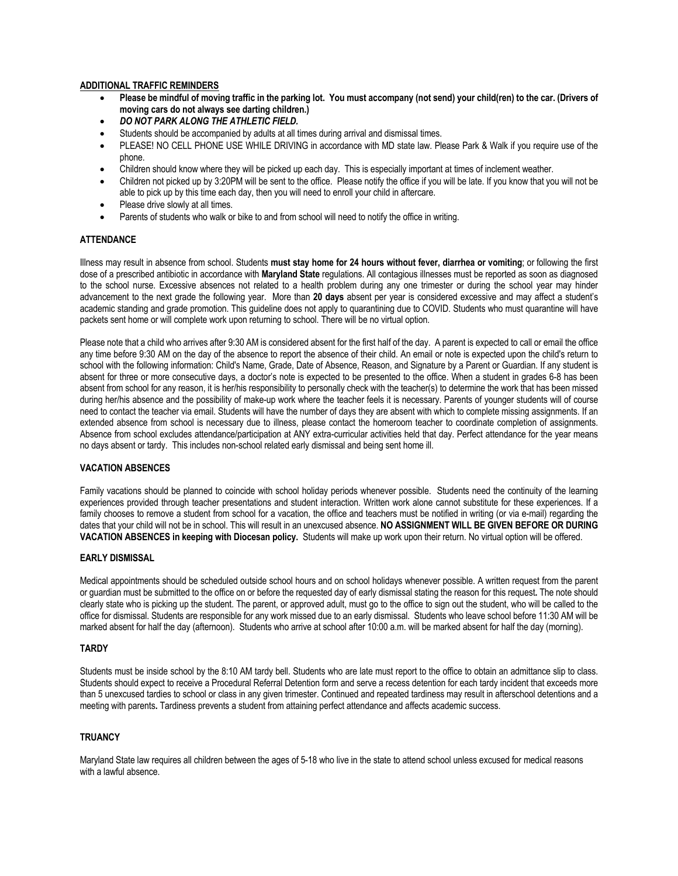#### **ADDITIONAL TRAFFIC REMINDERS**

- **Please be mindful of moving traffic in the parking lot. You must accompany (not send) your child(ren) to the car. (Drivers of moving cars do not always see darting children.)**
- *DO NOT PARK ALONG THE ATHLETIC FIELD.*
- Students should be accompanied by adults at all times during arrival and dismissal times.
- PLEASE! NO CELL PHONE USE WHILE DRIVING in accordance with MD state law. Please Park & Walk if you require use of the phone.
- Children should know where they will be picked up each day. This is especially important at times of inclement weather.
- Children not picked up by 3:20PM will be sent to the office. Please notify the office if you will be late. If you know that you will not be able to pick up by this time each day, then you will need to enroll your child in aftercare.
- Please drive slowly at all times.
- Parents of students who walk or bike to and from school will need to notify the office in writing.

#### **ATTENDANCE**

Illness may result in absence from school. Students **must stay home for 24 hours without fever, diarrhea or vomiting**; or following the first dose of a prescribed antibiotic in accordance with **Maryland State** regulations. All contagious illnesses must be reported as soon as diagnosed to the school nurse. Excessive absences not related to a health problem during any one trimester or during the school year may hinder advancement to the next grade the following year. More than **20 days** absent per year is considered excessive and may affect a student's academic standing and grade promotion. This guideline does not apply to quarantining due to COVID. Students who must quarantine will have packets sent home or will complete work upon returning to school. There will be no virtual option.

Please note that a child who arrives after 9:30 AM is considered absent for the first half of the day. A parent is expected to call or email the office any time before 9:30 AM on the day of the absence to report the absence of their child. An email or note is expected upon the child's return to school with the following information: Child's Name, Grade, Date of Absence, Reason, and Signature by a Parent or Guardian. If any student is absent for three or more consecutive days, a doctor's note is expected to be presented to the office. When a student in grades 6-8 has been absent from school for any reason, it is her/his responsibility to personally check with the teacher(s) to determine the work that has been missed during her/his absence and the possibility of make-up work where the teacher feels it is necessary. Parents of younger students will of course need to contact the teacher via email. Students will have the number of days they are absent with which to complete missing assignments. If an extended absence from school is necessary due to illness, please contact the homeroom teacher to coordinate completion of assignments. Absence from school excludes attendance/participation at ANY extra-curricular activities held that day. Perfect attendance for the year means no days absent or tardy. This includes non-school related early dismissal and being sent home ill.

#### **VACATION ABSENCES**

Family vacations should be planned to coincide with school holiday periods whenever possible. Students need the continuity of the learning experiences provided through teacher presentations and student interaction. Written work alone cannot substitute for these experiences. If a family chooses to remove a student from school for a vacation, the office and teachers must be notified in writing (or via e-mail) regarding the dates that your child will not be in school. This will result in an unexcused absence. **NO ASSIGNMENT WILL BE GIVEN BEFORE OR DURING VACATION ABSENCES in keeping with Diocesan policy.** Students will make up work upon their return. No virtual option will be offered.

#### **EARLY DISMISSAL**

Medical appointments should be scheduled outside school hours and on school holidays whenever possible. A written request from the parent or guardian must be submitted to the office on or before the requested day of early dismissal stating the reason for this request**.** The note should clearly state who is picking up the student. The parent, or approved adult, must go to the office to sign out the student, who will be called to the office for dismissal. Students are responsible for any work missed due to an early dismissal. Students who leave school before 11:30 AM will be marked absent for half the day (afternoon). Students who arrive at school after 10:00 a.m. will be marked absent for half the day (morning).

#### **TARDY**

Students must be inside school by the 8:10 AM tardy bell. Students who are late must report to the office to obtain an admittance slip to class. Students should expect to receive a Procedural Referral Detention form and serve a recess detention for each tardy incident that exceeds more than 5 unexcused tardies to school or class in any given trimester. Continued and repeated tardiness may result in afterschool detentions and a meeting with parents**.** Tardiness prevents a student from attaining perfect attendance and affects academic success.

### **TRUANCY**

Maryland State law requires all children between the ages of 5-18 who live in the state to attend school unless excused for medical reasons with a lawful absence.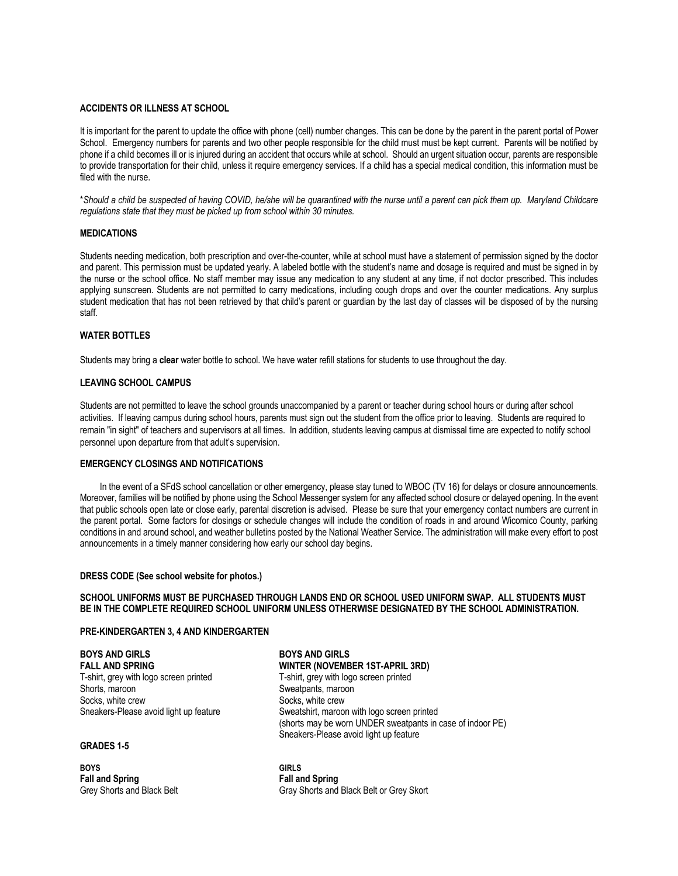# **ACCIDENTS OR ILLNESS AT SCHOOL**

It is important for the parent to update the office with phone (cell) number changes. This can be done by the parent in the parent portal of Power School. Emergency numbers for parents and two other people responsible for the child must must be kept current. Parents will be notified by phone if a child becomes ill or is injured during an accident that occurs while at school. Should an urgent situation occur, parents are responsible to provide transportation for their child, unless it require emergency services. If a child has a special medical condition, this information must be filed with the nurse.

\**Should a child be suspected of having COVID, he/she will be quarantined with the nurse until a parent can pick them up. Maryland Childcare regulations state that they must be picked up from school within 30 minutes.*

#### **MEDICATIONS**

Students needing medication, both prescription and over-the-counter, while at school must have a statement of permission signed by the doctor and parent. This permission must be updated yearly. A labeled bottle with the student's name and dosage is required and must be signed in by the nurse or the school office. No staff member may issue any medication to any student at any time, if not doctor prescribed. This includes applying sunscreen. Students are not permitted to carry medications, including cough drops and over the counter medications. Any surplus student medication that has not been retrieved by that child's parent or guardian by the last day of classes will be disposed of by the nursing staff.

# **WATER BOTTLES**

Students may bring a **clear** water bottle to school. We have water refill stations for students to use throughout the day.

#### **LEAVING SCHOOL CAMPUS**

Students are not permitted to leave the school grounds unaccompanied by a parent or teacher during school hours or during after school activities. If leaving campus during school hours, parents must sign out the student from the office prior to leaving. Students are required to remain "in sight" of teachers and supervisors at all times. In addition, students leaving campus at dismissal time are expected to notify school personnel upon departure from that adult's supervision.

### **EMERGENCY CLOSINGS AND NOTIFICATIONS**

In the event of a SFdS school cancellation or other emergency, please stay tuned to WBOC (TV 16) for delays or closure announcements. Moreover, families will be notified by phone using the School Messenger system for any affected school closure or delayed opening. In the event that public schools open late or close early, parental discretion is advised. Please be sure that your emergency contact numbers are current in the parent portal.Some factors for closings or schedule changes will include the condition of roads in and around Wicomico County, parking conditions in and around school, and weather bulletins posted by the National Weather Service. The administration will make every effort to post announcements in a timely manner considering how early our school day begins.

#### **DRESS CODE (See school website for photos.)**

# **SCHOOL UNIFORMS MUST BE PURCHASED THROUGH LANDS END OR SCHOOL USED UNIFORM SWAP. ALL STUDENTS MUST BE IN THE COMPLETE REQUIRED SCHOOL UNIFORM UNLESS OTHERWISE DESIGNATED BY THE SCHOOL ADMINISTRATION.**

#### **PRE-KINDERGARTEN 3, 4 AND KINDERGARTEN**

**BOYS AND GIRLS BOYS AND GIRLS** T-shirt, grey with logo screen printed T-shirt, grey with logo screen printed Shorts, maroon Shorts, maroon Shorts, maroon Shorts, maroon Shorts, maroon Shorts, maroon Shorts, maroon Shorts, maroon Shorts, maroon Shorts, maroon Shorts, maroon Shorts, maroon Shorts, maroon Shorts, maroon Shorts, maro Socks, white crew Socks, white crew Socks, white crew Socks, white crew Socks, white crew Socks, white crew Socks, white crew Socks, white crew Socks, white crew Socks, white crew Socks, white crew Socks, white crew Socks,

#### **GRADES 1-5**

**BOYS GIRLS Fall and Spring Fall and Spring**

**FALL AND SPRING WINTER (NOVEMBER 1ST-APRIL 3RD)** Sweatshirt, maroon with logo screen printed (shorts may be worn UNDER sweatpants in case of indoor PE) Sneakers-Please avoid light up feature

Grey Shorts and Black Belt Gray Shorts and Black Belt or Grey Skort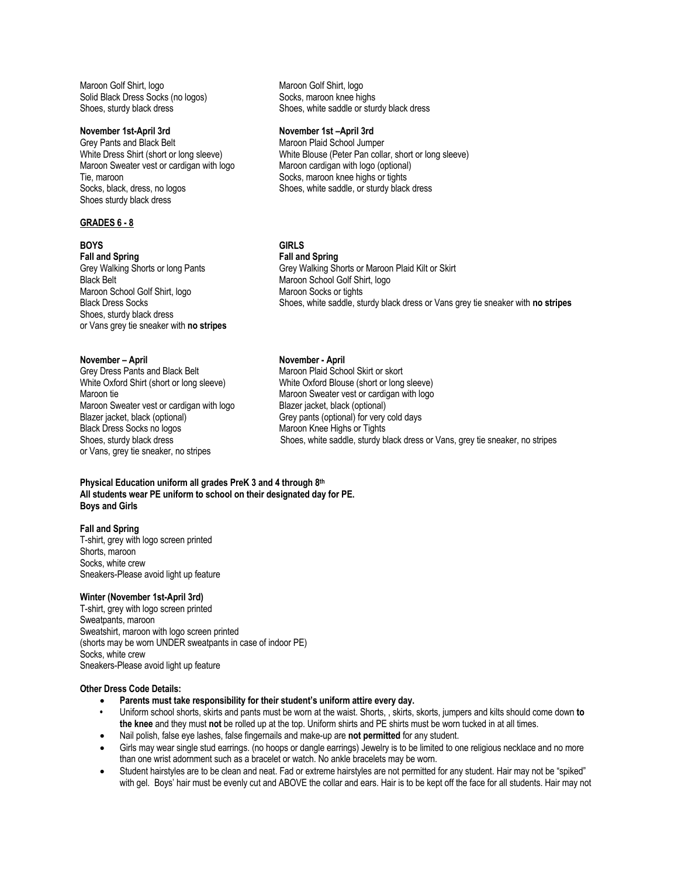Maroon Golf Shirt, logo Maroon Golf Shirt, logo Solid Black Dress Socks (no logos) Socks, maroon knee highs<br>Shoes, sturdy black dress Shoes, white saddle or stur

Grey Pants and Black Belt Maroon Plaid School Jumper Maroon Sweater vest or cardigan with logo Maroon cardigan with logo (optional)<br>Tie, maroon cardigan with Socks, maroon knee highs or tights Tie, maroon and the socks, maroon knee highs or tights<br>
Socks, black, dress, no logos<br>
Shoes, white saddle, or sturdy black Shoes sturdy black dress

#### **GRADES 6 - 8**

**Fall and Spring Fall and Spring**

Black Belt Maroon School Golf Shirt, logo Maroon School Golf Shirt, logo Maroon Socks or tights Shoes, sturdy black dress or Vans grey tie sneaker with **no stripes**

**November – April November - April** White Oxford Shirt (short or long sleeve) Maroon Sweater vest or cardigan with logo Blazer jacket, black (optional) Blazer jacket, black (optional) Grey pants (optional) for very cold days Black Dress Socks no logos Maroon Knee Highs or Tights or Vans, grey tie sneaker, no stripes

Shoes, white saddle or sturdy black dress

## **November 1st-April 3rd November 1st –April 3rd**

White Dress Shirt (short or long sleeve) White Blouse (Peter Pan collar, short or long sleeve) Shoes, white saddle, or sturdy black dress

# **BOYS GIRLS**

Grey Walking Shorts or long Pants Grey Walking Shorts or Maroon Plaid Kilt or Skirt Black Dress Socks Shoes, white saddle, sturdy black dress or Vans grey tie sneaker with **no stripes** 

Maroon Plaid School Skirt or skort<br>White Oxford Blouse (short or long sleeve) Maroon tie Maroon Sweater vest or cardigan with logo Shoes, sturdy black dress Shoes, white saddle, sturdy black dress or Vans, grey tie sneaker, no stripes

#### **Physical Education uniform all grades PreK 3 and 4 through 8th All students wear PE uniform to school on their designated day for PE. Boys and Girls**

# **Fall and Spring**

T-shirt, grey with logo screen printed Shorts, maroon Socks, white crew Sneakers-Please avoid light up feature

#### **Winter (November 1st-April 3rd)**

T-shirt, grey with logo screen printed Sweatpants, maroon Sweatshirt, maroon with logo screen printed (shorts may be worn UNDER sweatpants in case of indoor PE) Socks, white crew Sneakers-Please avoid light up feature

#### **Other Dress Code Details:**

- **Parents must take responsibility for their student's uniform attire every day.**
- **•** Uniform school shorts, skirts and pants must be worn at the waist. Shorts, , skirts, skorts, jumpers and kilts should come down **to the knee** and they must **not** be rolled up at the top. Uniform shirts and PE shirts must be worn tucked in at all times.
- Nail polish, false eye lashes, false fingernails and make-up are **not permitted** for any student.
- Girls may wear single stud earrings. (no hoops or dangle earrings) Jewelry is to be limited to one religious necklace and no more than one wrist adornment such as a bracelet or watch. No ankle bracelets may be worn.
- Student hairstyles are to be clean and neat. Fad or extreme hairstyles are not permitted for any student. Hair may not be "spiked" with gel. Boys' hair must be evenly cut and ABOVE the collar and ears. Hair is to be kept off the face for all students. Hair may not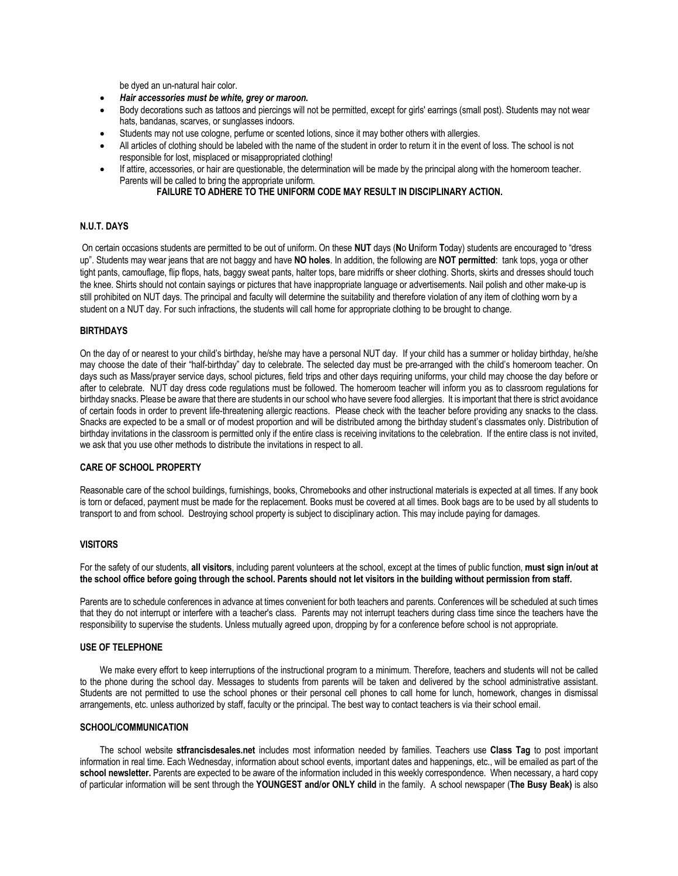be dyed an un-natural hair color.

- *Hair accessories must be white, grey or maroon.*
- Body decorations such as tattoos and piercings will not be permitted, except for girls' earrings (small post). Students may not wear hats, bandanas, scarves, or sunglasses indoors.
- Students may not use cologne, perfume or scented lotions, since it may bother others with allergies.
- All articles of clothing should be labeled with the name of the student in order to return it in the event of loss. The school is not responsible for lost, misplaced or misappropriated clothing!
- If attire, accessories, or hair are questionable, the determination will be made by the principal along with the homeroom teacher. Parents will be called to bring the appropriate uniform.

# **FAILURE TO ADHERE TO THE UNIFORM CODE MAY RESULT IN DISCIPLINARY ACTION.**

# **N.U.T. DAYS**

On certain occasions students are permitted to be out of uniform. On these **NUT** days (**N**o **U**niform **T**oday) students are encouraged to "dress up". Students may wear jeans that are not baggy and have **NO holes**. In addition, the following are **NOT permitted**: tank tops, yoga or other tight pants, camouflage, flip flops, hats, baggy sweat pants, halter tops, bare midriffs or sheer clothing. Shorts, skirts and dresses should touch the knee. Shirts should not contain sayings or pictures that have inappropriate language or advertisements. Nail polish and other make-up is still prohibited on NUT days. The principal and faculty will determine the suitability and therefore violation of any item of clothing worn by a student on a NUT day. For such infractions, the students will call home for appropriate clothing to be brought to change.

#### **BIRTHDAYS**

On the day of or nearest to your child's birthday, he/she may have a personal NUT day. If your child has a summer or holiday birthday, he/she may choose the date of their "half-birthday" day to celebrate. The selected day must be pre-arranged with the child's homeroom teacher. On days such as Mass/prayer service days, school pictures, field trips and other days requiring uniforms, your child may choose the day before or after to celebrate. NUT day dress code regulations must be followed. The homeroom teacher will inform you as to classroom regulations for birthday snacks. Please be aware that there are students in our school who have severe food allergies. It is important that there is strict avoidance of certain foods in order to prevent life-threatening allergic reactions. Please check with the teacher before providing any snacks to the class. Snacks are expected to be a small or of modest proportion and will be distributed among the birthday student's classmates only. Distribution of birthday invitations in the classroom is permitted only if the entire class is receiving invitations to the celebration. If the entire class is not invited, we ask that you use other methods to distribute the invitations in respect to all.

#### **CARE OF SCHOOL PROPERTY**

Reasonable care of the school buildings, furnishings, books, Chromebooks and other instructional materials is expected at all times. If any book is torn or defaced, payment must be made for the replacement. Books must be covered at all times. Book bags are to be used by all students to transport to and from school. Destroying school property is subject to disciplinary action. This may include paying for damages.

#### **VISITORS**

For the safety of our students, **all visitors**, including parent volunteers at the school, except at the times of public function, **must sign in/out at the school office before going through the school. Parents should not let visitors in the building without permission from staff.**

Parents are to schedule conferences in advance at times convenient for both teachers and parents. Conferences will be scheduled at such times that they do not interrupt or interfere with a teacher's class. Parents may not interrupt teachers during class time since the teachers have the responsibility to supervise the students. Unless mutually agreed upon, dropping by for a conference before school is not appropriate.

# **USE OF TELEPHONE**

We make every effort to keep interruptions of the instructional program to a minimum. Therefore, teachers and students will not be called to the phone during the school day. Messages to students from parents will be taken and delivered by the school administrative assistant. Students are not permitted to use the school phones or their personal cell phones to call home for lunch, homework, changes in dismissal arrangements, etc. unless authorized by staff, faculty or the principal. The best way to contact teachers is via their school email.

#### **SCHOOL/COMMUNICATION**

The school website **stfrancisdesales.net** includes most information needed by families. Teachers use **Class Tag** to post important information in real time. Each Wednesday, information about school events, important dates and happenings, etc., will be emailed as part of the school newsletter. Parents are expected to be aware of the information included in this weekly correspondence. When necessary, a hard copy of particular information will be sent through the **YOUNGEST and/or ONLY child** in the family. A school newspaper (**The Busy Beak)** is also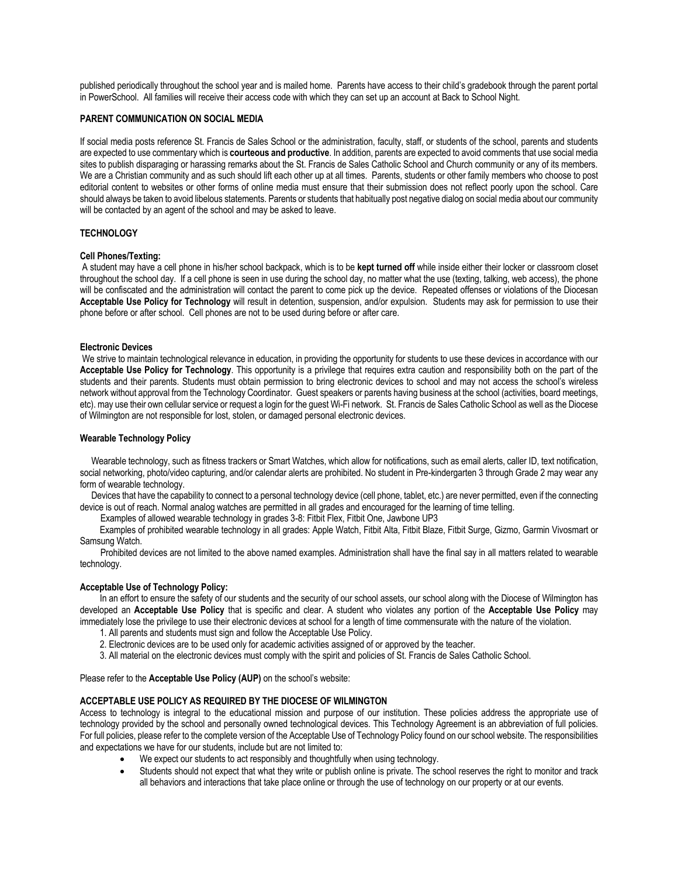published periodically throughout the school year and is mailed home. Parents have access to their child's gradebook through the parent portal in PowerSchool. All families will receive their access code with which they can set up an account at Back to School Night.

# **PARENT COMMUNICATION ON SOCIAL MEDIA**

If social media posts reference St. Francis de Sales School or the administration, faculty, staff, or students of the school, parents and students are expected to use commentary which is **courteous and productive**. In addition, parents are expected to avoid comments that use social media sites to publish disparaging or harassing remarks about the St. Francis de Sales Catholic School and Church community or any of its members. We are a Christian community and as such should lift each other up at all times. Parents, students or other family members who choose to post editorial content to websites or other forms of online media must ensure that their submission does not reflect poorly upon the school. Care should always be taken to avoid libelous statements. Parents or students that habitually post negative dialog on social media about our community will be contacted by an agent of the school and may be asked to leave.

## **TECHNOLOGY**

#### **Cell Phones/Texting:**

A student may have a cell phone in his/her school backpack, which is to be **kept turned off** while inside either their locker or classroom closet throughout the school day. If a cell phone is seen in use during the school day, no matter what the use (texting, talking, web access), the phone will be confiscated and the administration will contact the parent to come pick up the device. Repeated offenses or violations of the Diocesan **Acceptable Use Policy for Technology** will result in detention, suspension, and/or expulsion. Students may ask for permission to use their phone before or after school. Cell phones are not to be used during before or after care.

#### **Electronic Devices**

We strive to maintain technological relevance in education, in providing the opportunity for students to use these devices in accordance with our **Acceptable Use Policy for Technology**. This opportunity is a privilege that requires extra caution and responsibility both on the part of the students and their parents. Students must obtain permission to bring electronic devices to school and may not access the school's wireless network without approval from the Technology Coordinator. Guest speakers or parents having business at the school (activities, board meetings, etc). may use their own cellular service or request a login for the guest Wi-Fi network. St. Francis de Sales Catholic School as well as the Diocese of Wilmington are not responsible for lost, stolen, or damaged personal electronic devices.

#### **Wearable Technology Policy**

 Wearable technology, such as fitness trackers or Smart Watches, which allow for notifications, such as email alerts, caller ID, text notification, social networking, photo/video capturing, and/or calendar alerts are prohibited. No student in Pre-kindergarten 3 through Grade 2 may wear any form of wearable technology.

 Devices that have the capability to connect to a personal technology device (cell phone, tablet, etc.) are never permitted, even if the connecting device is out of reach. Normal analog watches are permitted in all grades and encouraged for the learning of time telling.

Examples of allowed wearable technology in grades 3-8: Fitbit Flex, Fitbit One, Jawbone UP3

Examples of prohibited wearable technology in all grades: Apple Watch, Fitbit Alta, Fitbit Blaze, Fitbit Surge, Gizmo, Garmin Vivosmart or Samsung Watch.

 Prohibited devices are not limited to the above named examples. Administration shall have the final say in all matters related to wearable technology.

#### **Acceptable Use of Technology Policy:**

In an effort to ensure the safety of our students and the security of our school assets, our school along with the Diocese of Wilmington has developed an **Acceptable Use Policy** that is specific and clear. A student who violates any portion of the **Acceptable Use Policy** may immediately lose the privilege to use their electronic devices at school for a length of time commensurate with the nature of the violation.

- 1. All parents and students must sign and follow the Acceptable Use Policy.
- 2. Electronic devices are to be used only for academic activities assigned of or approved by the teacher.
- 3. All material on the electronic devices must comply with the spirit and policies of St. Francis de Sales Catholic School.

Please refer to the **Acceptable Use Policy (AUP)** on the school's website:

# **ACCEPTABLE USE POLICY AS REQUIRED BY THE DIOCESE OF WILMINGTON**

Access to technology is integral to the educational mission and purpose of our institution. These policies address the appropriate use of technology provided by the school and personally owned technological devices. This Technology Agreement is an abbreviation of full policies. For full policies, please refer to the complete version of the Acceptable Use of Technology Policy found on our school website. The responsibilities and expectations we have for our students, include but are not limited to:

- We expect our students to act responsibly and thoughtfully when using technology.
- Students should not expect that what they write or publish online is private. The school reserves the right to monitor and track all behaviors and interactions that take place online or through the use of technology on our property or at our events.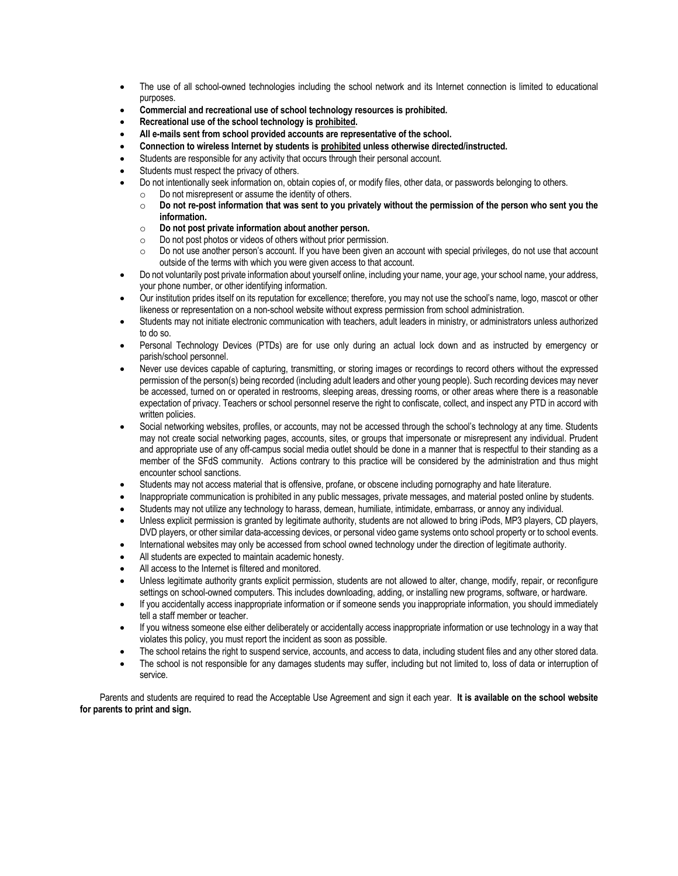- The use of all school-owned technologies including the school network and its Internet connection is limited to educational purposes.
- **Commercial and recreational use of school technology resources is prohibited.**
- **Recreational use of the school technology is prohibited.**
- **All e-mails sent from school provided accounts are representative of the school.**
- **Connection to wireless Internet by students is prohibited unless otherwise directed/instructed.**
- Students are responsible for any activity that occurs through their personal account.
- Students must respect the privacy of others.
- Do not intentionally seek information on, obtain copies of, or modify files, other data, or passwords belonging to others.
- o Do not misrepresent or assume the identity of others.
	- o **Do not re-post information that was sent to you privately without the permission of the person who sent you the information.**
	- o **Do not post private information about another person.**
	- $\circ$  Do not post photos or videos of others without prior permission.
	- $\circ$  Do not use another person's account. If you have been given an account with special privileges, do not use that account outside of the terms with which you were given access to that account.
- Do not voluntarily post private information about yourself online, including your name, your age, your school name, your address, your phone number, or other identifying information.
- Our institution prides itself on its reputation for excellence; therefore, you may not use the school's name, logo, mascot or other likeness or representation on a non-school website without express permission from school administration.
- Students may not initiate electronic communication with teachers, adult leaders in ministry, or administrators unless authorized to do so.
- Personal Technology Devices (PTDs) are for use only during an actual lock down and as instructed by emergency or parish/school personnel.
- Never use devices capable of capturing, transmitting, or storing images or recordings to record others without the expressed permission of the person(s) being recorded (including adult leaders and other young people). Such recording devices may never be accessed, turned on or operated in restrooms, sleeping areas, dressing rooms, or other areas where there is a reasonable expectation of privacy. Teachers or school personnel reserve the right to confiscate, collect, and inspect any PTD in accord with written policies.
- Social networking websites, profiles, or accounts, may not be accessed through the school's technology at any time. Students may not create social networking pages, accounts, sites, or groups that impersonate or misrepresent any individual. Prudent and appropriate use of any off-campus social media outlet should be done in a manner that is respectful to their standing as a member of the SFdS community. Actions contrary to this practice will be considered by the administration and thus might encounter school sanctions.
- Students may not access material that is offensive, profane, or obscene including pornography and hate literature.
- Inappropriate communication is prohibited in any public messages, private messages, and material posted online by students.
- Students may not utilize any technology to harass, demean, humiliate, intimidate, embarrass, or annoy any individual.
- Unless explicit permission is granted by legitimate authority, students are not allowed to bring iPods, MP3 players, CD players, DVD players, or other similar data-accessing devices, or personal video game systems onto school property or to school events.
- International websites may only be accessed from school owned technology under the direction of legitimate authority.
- All students are expected to maintain academic honesty.
- All access to the Internet is filtered and monitored.
- Unless legitimate authority grants explicit permission, students are not allowed to alter, change, modify, repair, or reconfigure settings on school-owned computers. This includes downloading, adding, or installing new programs, software, or hardware.
- If you accidentally access inappropriate information or if someone sends you inappropriate information, you should immediately tell a staff member or teacher.
- If you witness someone else either deliberately or accidentally access inappropriate information or use technology in a way that violates this policy, you must report the incident as soon as possible.
- The school retains the right to suspend service, accounts, and access to data, including student files and any other stored data.
- The school is not responsible for any damages students may suffer, including but not limited to, loss of data or interruption of service.

Parents and students are required to read the Acceptable Use Agreement and sign it each year. **It is available on the school website for parents to print and sign.**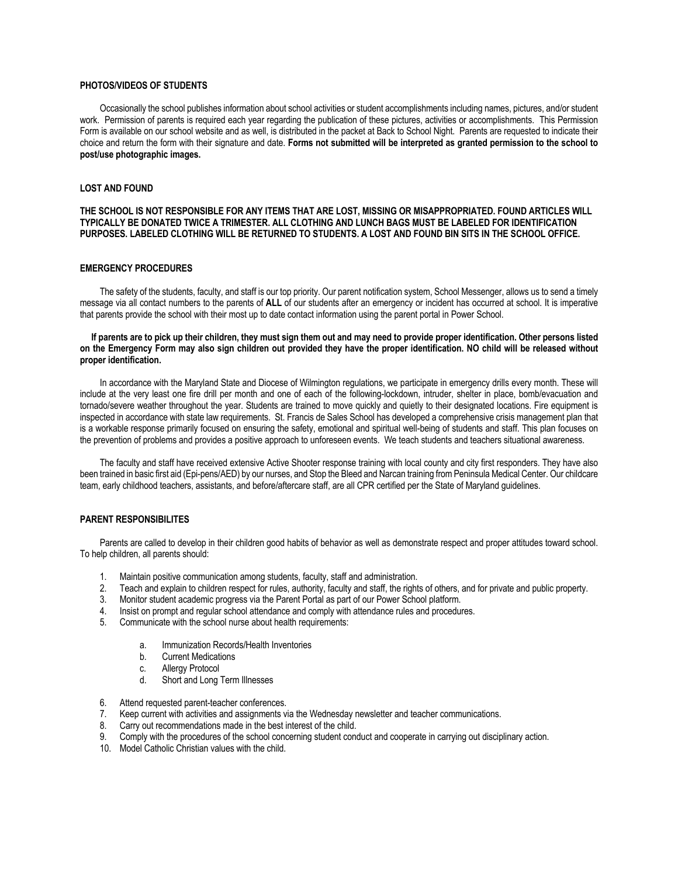#### **PHOTOS/VIDEOS OF STUDENTS**

Occasionally the school publishes information about school activities or student accomplishments including names, pictures, and/or student work. Permission of parents is required each year regarding the publication of these pictures, activities or accomplishments. This Permission Form is available on our school website and as well, is distributed in the packet at Back to School Night. Parents are requested to indicate their choice and return the form with their signature and date. **Forms not submitted will be interpreted as granted permission to the school to post/use photographic images.**

# **LOST AND FOUND**

#### **THE SCHOOL IS NOT RESPONSIBLE FOR ANY ITEMS THAT ARE LOST, MISSING OR MISAPPROPRIATED. FOUND ARTICLES WILL TYPICALLY BE DONATED TWICE A TRIMESTER. ALL CLOTHING AND LUNCH BAGS MUST BE LABELED FOR IDENTIFICATION PURPOSES. LABELED CLOTHING WILL BE RETURNED TO STUDENTS. A LOST AND FOUND BIN SITS IN THE SCHOOL OFFICE.**

#### **EMERGENCY PROCEDURES**

The safety of the students, faculty, and staff is our top priority. Our parent notification system, School Messenger, allows us to send a timely message via all contact numbers to the parents of **ALL** of our students after an emergency or incident has occurred at school. It is imperative that parents provide the school with their most up to date contact information using the parent portal in Power School.

#### **If parents are to pick up their children, they must sign them out and may need to provide proper identification. Other persons listed on the Emergency Form may also sign children out provided they have the proper identification. NO child will be released without proper identification.**

In accordance with the Maryland State and Diocese of Wilmington regulations, we participate in emergency drills every month. These will include at the very least one fire drill per month and one of each of the following-lockdown, intruder, shelter in place, bomb/evacuation and tornado/severe weather throughout the year. Students are trained to move quickly and quietly to their designated locations. Fire equipment is inspected in accordance with state law requirements. St. Francis de Sales School has developed a comprehensive crisis management plan that is a workable response primarily focused on ensuring the safety, emotional and spiritual well-being of students and staff. This plan focuses on the prevention of problems and provides a positive approach to unforeseen events. We teach students and teachers situational awareness.

The faculty and staff have received extensive Active Shooter response training with local county and city first responders. They have also been trained in basic first aid (Epi-pens/AED) by our nurses, and Stop the Bleed and Narcan training from Peninsula Medical Center. Our childcare team, early childhood teachers, assistants, and before/aftercare staff, are all CPR certified per the State of Maryland guidelines.

#### **PARENT RESPONSIBILITES**

Parents are called to develop in their children good habits of behavior as well as demonstrate respect and proper attitudes toward school. To help children, all parents should:

- 1. Maintain positive communication among students, faculty, staff and administration.
- 2. Teach and explain to children respect for rules, authority, faculty and staff, the rights of others, and for private and public property.
- 3. Monitor student academic progress via the Parent Portal as part of our Power School platform.
- 4. Insist on prompt and regular school attendance and comply with attendance rules and procedures.
- 5. Communicate with the school nurse about health requirements:
	- a. Immunization Records/Health Inventories
	- b. Current Medications
	- c. Allergy Protocol
	- d. Short and Long Term Illnesses
- 6. Attend requested parent-teacher conferences.
- 7. Keep current with activities and assignments via the Wednesday newsletter and teacher communications.
- 8. Carry out recommendations made in the best interest of the child.
- 9. Comply with the procedures of the school concerning student conduct and cooperate in carrying out disciplinary action.
- 10. Model Catholic Christian values with the child.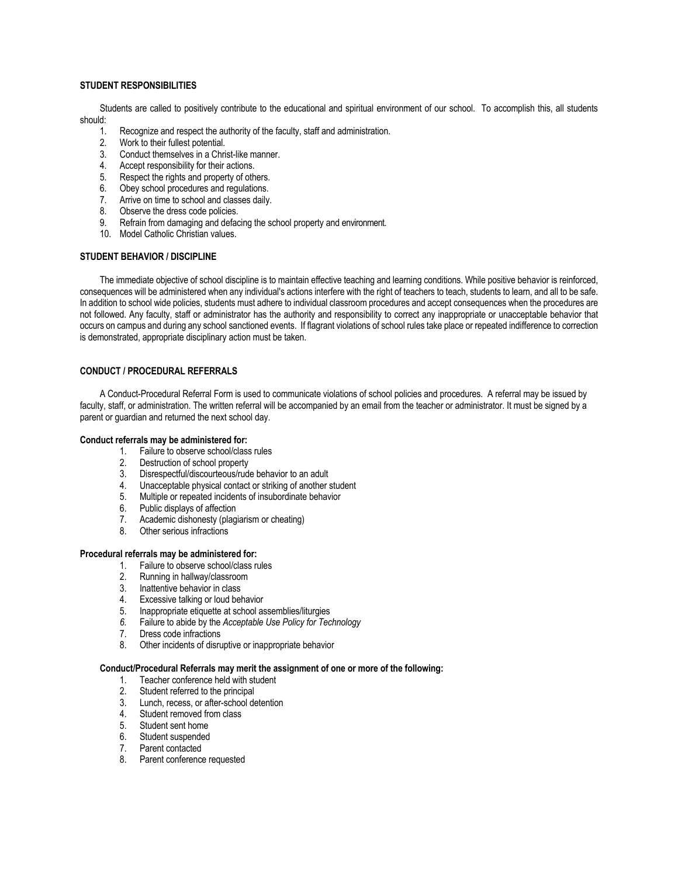# **STUDENT RESPONSIBILITIES**

Students are called to positively contribute to the educational and spiritual environment of our school. To accomplish this, all students should:

- 1. Recognize and respect the authority of the faculty, staff and administration.
- 2. Work to their fullest potential.
- 3. Conduct themselves in a Christ-like manner.
- 4. Accept responsibility for their actions.
- 5. Respect the rights and property of others.
- 6. Obey school procedures and regulations.
- 7. Arrive on time to school and classes daily.
- 8. Observe the dress code policies.
- 9. Refrain from damaging and defacing the school property and environment.
- 10. Model Catholic Christian values.

### **STUDENT BEHAVIOR / DISCIPLINE**

The immediate objective of school discipline is to maintain effective teaching and learning conditions. While positive behavior is reinforced, consequences will be administered when any individual's actions interfere with the right of teachers to teach, students to learn, and all to be safe. In addition to school wide policies, students must adhere to individual classroom procedures and accept consequences when the procedures are not followed. Any faculty, staff or administrator has the authority and responsibility to correct any inappropriate or unacceptable behavior that occurs on campus and during any school sanctioned events. If flagrant violations of school rules take place or repeated indifference to correction is demonstrated, appropriate disciplinary action must be taken.

# **CONDUCT / PROCEDURAL REFERRALS**

A Conduct-Procedural Referral Form is used to communicate violations of school policies and procedures. A referral may be issued by faculty, staff, or administration. The written referral will be accompanied by an email from the teacher or administrator. It must be signed by a parent or guardian and returned the next school day.

#### **Conduct referrals may be administered for:**

- 1. Failure to observe school/class rules
- 2. Destruction of school property
- 3. Disrespectful/discourteous/rude behavior to an adult
- 4. Unacceptable physical contact or striking of another student
- 5. Multiple or repeated incidents of insubordinate behavior
- 6. Public displays of affection
- 7. Academic dishonesty (plagiarism or cheating)
- 8. Other serious infractions

# **Procedural referrals may be administered for:**

- 1. Failure to observe school/class rules
- 2. Running in hallway/classroom
- 3. Inattentive behavior in class
- 4. Excessive talking or loud behavior
- 5. Inappropriate etiquette at school assemblies/liturgies
- *6.* Failure to abide by the *Acceptable Use Policy for Technology*
- 7. Dress code infractions
- 8. Other incidents of disruptive or inappropriate behavior

### **Conduct/Procedural Referrals may merit the assignment of one or more of the following:**

- 1. Teacher conference held with student
- 2. Student referred to the principal
- 3. Lunch, recess, or after-school detention
- 4. Student removed from class
- 5. Student sent home
- 6. Student suspended
- 7. Parent contacted
- 8. Parent conference requested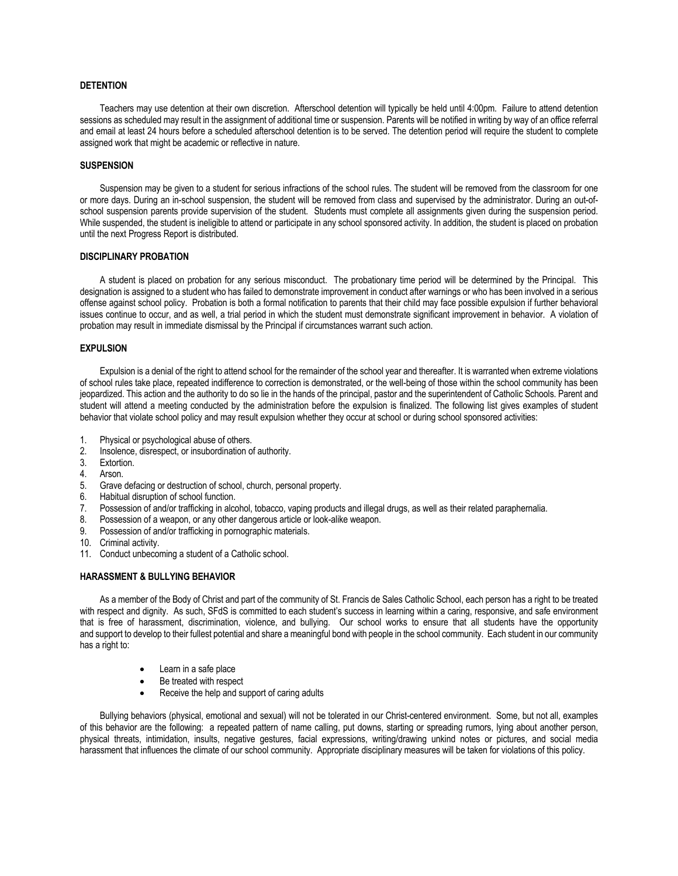#### **DETENTION**

Teachers may use detention at their own discretion. Afterschool detention will typically be held until 4:00pm. Failure to attend detention sessions as scheduled may result in the assignment of additional time or suspension. Parents will be notified in writing by way of an office referral and email at least 24 hours before a scheduled afterschool detention is to be served. The detention period will require the student to complete assigned work that might be academic or reflective in nature.

#### **SUSPENSION**

Suspension may be given to a student for serious infractions of the school rules. The student will be removed from the classroom for one or more days. During an in-school suspension, the student will be removed from class and supervised by the administrator. During an out-ofschool suspension parents provide supervision of the student. Students must complete all assignments given during the suspension period. While suspended, the student is ineligible to attend or participate in any school sponsored activity. In addition, the student is placed on probation until the next Progress Report is distributed.

#### **DISCIPLINARY PROBATION**

A student is placed on probation for any serious misconduct. The probationary time period will be determined by the Principal. This designation is assigned to a student who has failed to demonstrate improvement in conduct after warnings or who has been involved in a serious offense against school policy. Probation is both a formal notification to parents that their child may face possible expulsion if further behavioral issues continue to occur, and as well, a trial period in which the student must demonstrate significant improvement in behavior. A violation of probation may result in immediate dismissal by the Principal if circumstances warrant such action.

#### **EXPULSION**

Expulsion is a denial of the right to attend school for the remainder of the school year and thereafter. It is warranted when extreme violations of school rules take place, repeated indifference to correction is demonstrated, or the well-being of those within the school community has been jeopardized. This action and the authority to do so lie in the hands of the principal, pastor and the superintendent of Catholic Schools. Parent and student will attend a meeting conducted by the administration before the expulsion is finalized. The following list gives examples of student behavior that violate school policy and may result expulsion whether they occur at school or during school sponsored activities:

- 1. Physical or psychological abuse of others.
- 2. Insolence, disrespect, or insubordination of authority.
- 3. Extortion.
- 4. Arson.
- 5. Grave defacing or destruction of school, church, personal property.
- 6. Habitual disruption of school function.
- 7. Possession of and/or trafficking in alcohol, tobacco, vaping products and illegal drugs, as well as their related paraphernalia.
- 8. Possession of a weapon, or any other dangerous article or look-alike weapon.
- 9. Possession of and/or trafficking in pornographic materials.
- 10. Criminal activity.
- 11. Conduct unbecoming a student of a Catholic school.

#### **HARASSMENT & BULLYING BEHAVIOR**

As a member of the Body of Christ and part of the community of St. Francis de Sales Catholic School, each person has a right to be treated with respect and dignity. As such, SFdS is committed to each student's success in learning within a caring, responsive, and safe environment that is free of harassment, discrimination, violence, and bullying. Our school works to ensure that all students have the opportunity and support to develop to their fullest potential and share a meaningful bond with people in the school community. Each student in our community has a right to:

- Learn in a safe place
- Be treated with respect
- Receive the help and support of caring adults

Bullying behaviors (physical, emotional and sexual) will not be tolerated in our Christ-centered environment. Some, but not all, examples of this behavior are the following: a repeated pattern of name calling, put downs, starting or spreading rumors, lying about another person, physical threats, intimidation, insults, negative gestures, facial expressions, writing/drawing unkind notes or pictures, and social media harassment that influences the climate of our school community. Appropriate disciplinary measures will be taken for violations of this policy.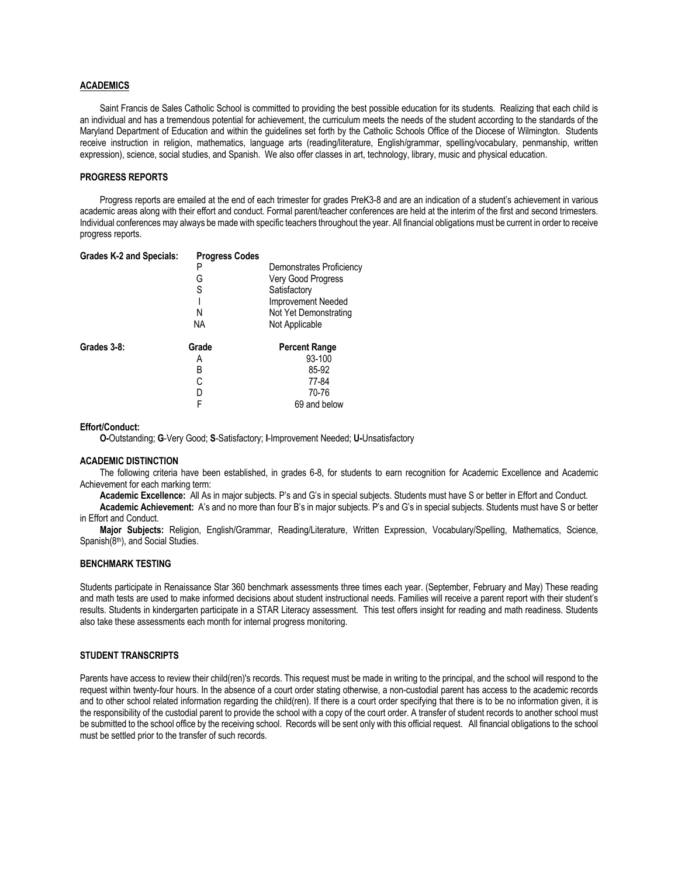#### **ACADEMICS**

Saint Francis de Sales Catholic School is committed to providing the best possible education for its students. Realizing that each child is an individual and has a tremendous potential for achievement, the curriculum meets the needs of the student according to the standards of the Maryland Department of Education and within the guidelines set forth by the Catholic Schools Office of the Diocese of Wilmington. Students receive instruction in religion, mathematics, language arts (reading/literature, English/grammar, spelling/vocabulary, penmanship, written expression), science, social studies, and Spanish. We also offer classes in art, technology, library, music and physical education.

# **PROGRESS REPORTS**

Progress reports are emailed at the end of each trimester for grades PreK3-8 and are an indication of a student's achievement in various academic areas along with their effort and conduct. Formal parent/teacher conferences are held at the interim of the first and second trimesters. Individual conferences may always be made with specific teachers throughout the year. All financial obligations must be current in order to receive progress reports.

| <b>Grades K-2 and Specials:</b> | <b>Progress Codes</b> |                          |
|---------------------------------|-----------------------|--------------------------|
|                                 | P                     | Demonstrates Proficiency |
|                                 | G                     | Very Good Progress       |
|                                 | S                     | Satisfactory             |
|                                 |                       | Improvement Needed       |
|                                 | Ν                     | Not Yet Demonstrating    |
|                                 | NА                    | Not Applicable           |
| Grades 3-8:                     | Grade                 | <b>Percent Range</b>     |
|                                 | Α                     | 93-100                   |
|                                 | B                     | 85-92                    |
|                                 | C                     | 77-84                    |
|                                 | D                     | 70-76                    |
|                                 | F                     | 69 and below             |

#### **Effort/Conduct:**

**O-**Outstanding; **G**-Very Good; **S**-Satisfactory; **I**-Improvement Needed; **U-**Unsatisfactory

#### **ACADEMIC DISTINCTION**

The following criteria have been established, in grades 6-8, for students to earn recognition for Academic Excellence and Academic Achievement for each marking term:

**Academic Excellence:** All As in major subjects. P's and G's in special subjects. Students must have S or better in Effort and Conduct.

**Academic Achievement:** A's and no more than four B's in major subjects. P's and G's in special subjects. Students must have S or better in Effort and Conduct.

**Major Subjects:** Religion, English/Grammar, Reading/Literature, Written Expression, Vocabulary/Spelling, Mathematics, Science, Spanish(8th), and Social Studies.

#### **BENCHMARK TESTING**

Students participate in Renaissance Star 360 benchmark assessments three times each year. (September, February and May) These reading and math tests are used to make informed decisions about student instructional needs. Families will receive a parent report with their student's results. Students in kindergarten participate in a STAR Literacy assessment. This test offers insight for reading and math readiness. Students also take these assessments each month for internal progress monitoring.

# **STUDENT TRANSCRIPTS**

Parents have access to review their child(ren)'s records. This request must be made in writing to the principal, and the school will respond to the request within twenty-four hours. In the absence of a court order stating otherwise, a non-custodial parent has access to the academic records and to other school related information regarding the child(ren). If there is a court order specifying that there is to be no information given, it is the responsibility of the custodial parent to provide the school with a copy of the court order. A transfer of student records to another school must be submitted to the school office by the receiving school. Records will be sent only with this official request. All financial obligations to the school must be settled prior to the transfer of such records.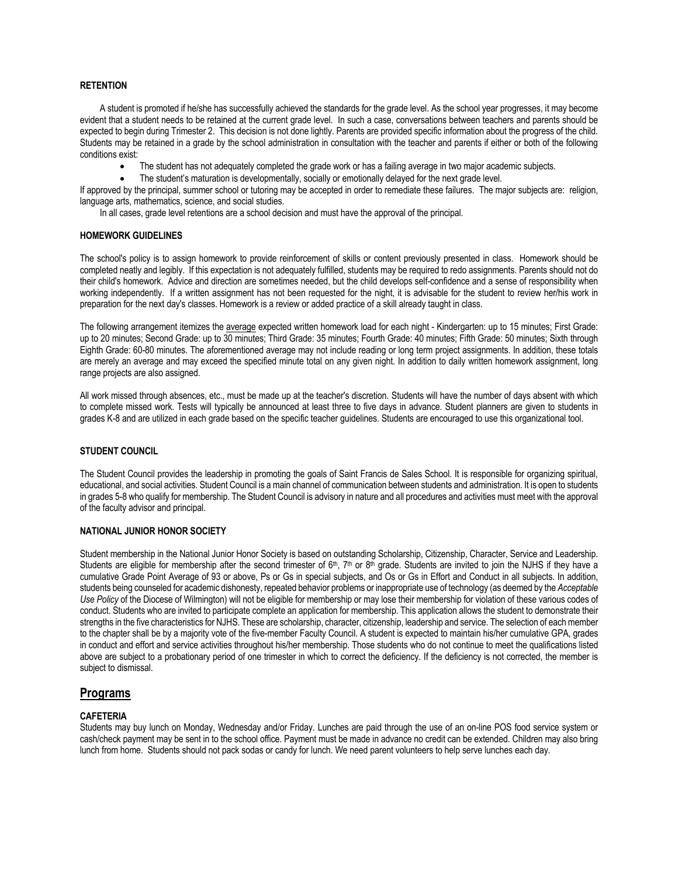## **RETENTION**

A student is promoted if he/she has successfully achieved the standards for the grade level. As the school year progresses, it may become evident that a student needs to be retained at the current grade level. In such a case, conversations between teachers and parents should be expected to begin during Trimester 2. This decision is not done lightly. Parents are provided specific information about the progress of the child. Students may be retained in a grade by the school administration in consultation with the teacher and parents if either or both of the following conditions exist:

- The student has not adequately completed the grade work or has a failing average in two major academic subjects.
- The student's maturation is developmentally, socially or emotionally delayed for the next grade level.

If approved by the principal, summer school or tutoring may be accepted in order to remediate these failures. The major subjects are: religion, language arts, mathematics, science, and social studies.

In all cases, grade level retentions are a school decision and must have the approval of the principal.

#### **HOMEWORK GUIDELINES**

The school's policy is to assign homework to provide reinforcement of skills or content previously presented in class. Homework should be completed neatly and legibly. If this expectation is not adequately fulfilled, students may be required to redo assignments. Parents should not do their child's homework. Advice and direction are sometimes needed, but the child develops self-confidence and a sense of responsibility when working independently. If a written assignment has not been requested for the night, it is advisable for the student to review her/his work in preparation for the next day's classes. Homework is a review or added practice of a skill already taught in class.

The following arrangement itemizes the average expected written homework load for each night - Kindergarten: up to 15 minutes; First Grade: up to 20 minutes; Second Grade: up to 30 minutes; Third Grade: 35 minutes; Fourth Grade: 40 minutes; Fifth Grade: 50 minutes; Sixth through Eighth Grade: 60-80 minutes. The aforementioned average may not include reading or long term project assignments. In addition, these totals are merely an average and may exceed the specified minute total on any given night. In addition to daily written homework assignment, long range projects are also assigned.

All work missed through absences, etc., must be made up at the teacher's discretion. Students will have the number of days absent with which to complete missed work. Tests will typically be announced at least three to five days in advance. Student planners are given to students in grades K-8 and are utilized in each grade based on the specific teacher guidelines. Students are encouraged to use this organizational tool.

# **STUDENT COUNCIL**

The Student Council provides the leadership in promoting the goals of Saint Francis de Sales School. It is responsible for organizing spiritual, educational, and social activities. Student Council is a main channel of communication between students and administration. It is open to students in grades 5-8 who qualify for membership. The Student Council is advisory in nature and all procedures and activities must meet with the approval of the faculty advisor and principal.

### **NATIONAL JUNIOR HONOR SOCIETY**

Student membership in the National Junior Honor Society is based on outstanding Scholarship, Citizenship, Character, Service and Leadership. Students are eligible for membership after the second trimester of 6<sup>th</sup>, 7<sup>th</sup> or 8<sup>th</sup> grade. Students are invited to join the NJHS if they have a cumulative Grade Point Average of 93 or above, Ps or Gs in special subjects, and Os or Gs in Effort and Conduct in all subjects. In addition, students being counseled for academic dishonesty, repeated behavior problems or inappropriate use of technology (as deemed by the *Acceptable Use Policy* of the Diocese of Wilmington) will not be eligible for membership or may lose their membership for violation of these various codes of conduct. Students who are invited to participate complete an application for membership. This application allows the student to demonstrate their strengths in the five characteristics for NJHS. These are scholarship, character, citizenship, leadership and service. The selection of each member to the chapter shall be by a majority vote of the five-member Faculty Council. A student is expected to maintain his/her cumulative GPA, grades in conduct and effort and service activities throughout his/her membership. Those students who do not continue to meet the qualifications listed above are subject to a probationary period of one trimester in which to correct the deficiency. If the deficiency is not corrected, the member is subject to dismissal.

# **Programs**

# **CAFETERIA**

Students may buy lunch on Monday, Wednesday and/or Friday. Lunches are paid through the use of an on-line POS food service system or cash/check payment may be sent in to the school office. Payment must be made in advance no credit can be extended. Children may also bring lunch from home. Students should not pack sodas or candy for lunch. We need parent volunteers to help serve lunches each day.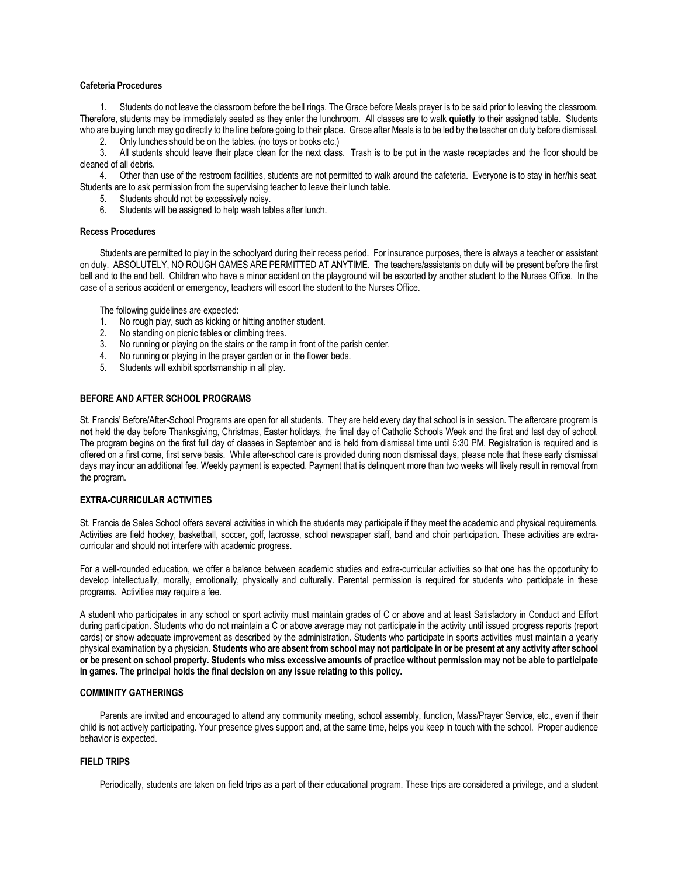## **Cafeteria Procedures**

1. Students do not leave the classroom before the bell rings. The Grace before Meals prayer is to be said prior to leaving the classroom. Therefore, students may be immediately seated as they enter the lunchroom. All classes are to walk **quietly** to their assigned table. Students who are buying lunch may go directly to the line before going to their place. Grace after Meals is to be led by the teacher on duty before dismissal.

2. Only lunches should be on the tables. (no toys or books etc.)

3. All students should leave their place clean for the next class. Trash is to be put in the waste receptacles and the floor should be cleaned of all debris.

4. Other than use of the restroom facilities, students are not permitted to walk around the cafeteria. Everyone is to stay in her/his seat. Students are to ask permission from the supervising teacher to leave their lunch table.

5. Students should not be excessively noisy.

6. Students will be assigned to help wash tables after lunch.

# **Recess Procedures**

Students are permitted to play in the schoolyard during their recess period. For insurance purposes, there is always a teacher or assistant on duty. ABSOLUTELY, NO ROUGH GAMES ARE PERMITTED AT ANYTIME. The teachers/assistants on duty will be present before the first bell and to the end bell. Children who have a minor accident on the playground will be escorted by another student to the Nurses Office. In the case of a serious accident or emergency, teachers will escort the student to the Nurses Office.

The following guidelines are expected:

- 1. No rough play, such as kicking or hitting another student.
- 2. No standing on picnic tables or climbing trees.
- 3. No running or playing on the stairs or the ramp in front of the parish center.
- 4. No running or playing in the prayer garden or in the flower beds.
- 5. Students will exhibit sportsmanship in all play.

#### **BEFORE AND AFTER SCHOOL PROGRAMS**

St. Francis' Before/After-School Programs are open for all students. They are held every day that school is in session. The aftercare program is **not** held the day before Thanksgiving, Christmas, Easter holidays, the final day of Catholic Schools Week and the first and last day of school. The program begins on the first full day of classes in September and is held from dismissal time until 5:30 PM. Registration is required and is offered on a first come, first serve basis. While after-school care is provided during noon dismissal days, please note that these early dismissal days may incur an additional fee. Weekly payment is expected. Payment that is delinquent more than two weeks will likely result in removal from the program.

#### **EXTRA-CURRICULAR ACTIVITIES**

St. Francis de Sales School offers several activities in which the students may participate if they meet the academic and physical requirements. Activities are field hockey, basketball, soccer, golf, lacrosse, school newspaper staff, band and choir participation. These activities are extracurricular and should not interfere with academic progress.

For a well-rounded education, we offer a balance between academic studies and extra-curricular activities so that one has the opportunity to develop intellectually, morally, emotionally, physically and culturally. Parental permission is required for students who participate in these programs. Activities may require a fee.

A student who participates in any school or sport activity must maintain grades of C or above and at least Satisfactory in Conduct and Effort during participation. Students who do not maintain a C or above average may not participate in the activity until issued progress reports (report cards) or show adequate improvement as described by the administration. Students who participate in sports activities must maintain a yearly physical examination by a physician. **Students who are absent from school may not participate in or be present at any activity after school or be present on school property. Students who miss excessive amounts of practice without permission may not be able to participate in games. The principal holds the final decision on any issue relating to this policy.** 

# **COMMINITY GATHERINGS**

Parents are invited and encouraged to attend any community meeting, school assembly, function, Mass/Prayer Service, etc., even if their child is not actively participating. Your presence gives support and, at the same time, helps you keep in touch with the school. Proper audience behavior is expected.

# **FIELD TRIPS**

Periodically, students are taken on field trips as a part of their educational program. These trips are considered a privilege, and a student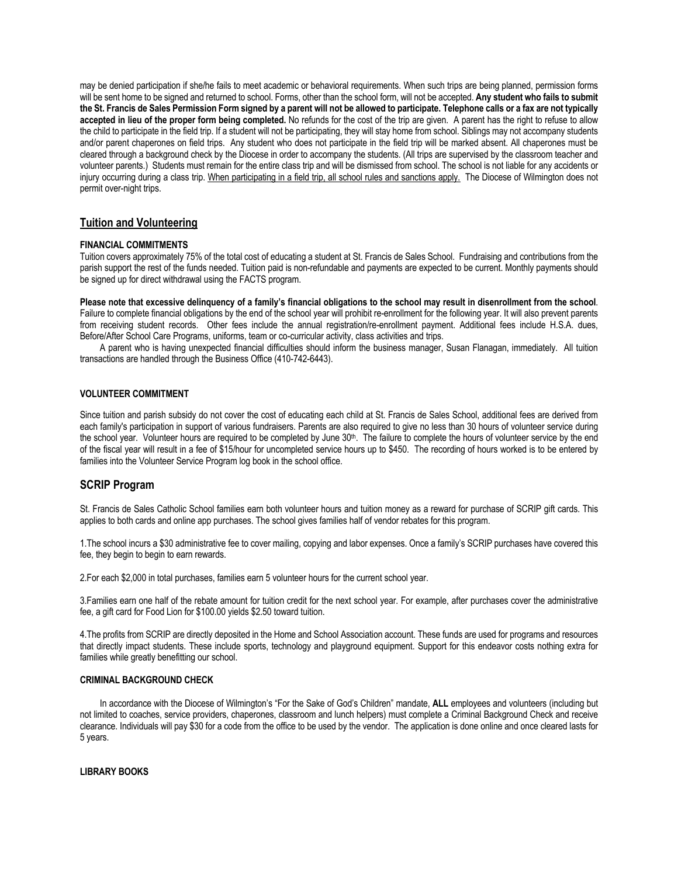may be denied participation if she/he fails to meet academic or behavioral requirements. When such trips are being planned, permission forms will be sent home to be signed and returned to school. Forms, other than the school form, will not be accepted. **Any student who fails to submit the St. Francis de Sales Permission Form signed by a parent will not be allowed to participate. Telephone calls or a fax are not typically accepted in lieu of the proper form being completed.** No refunds for the cost of the trip are given. A parent has the right to refuse to allow the child to participate in the field trip. If a student will not be participating, they will stay home from school. Siblings may not accompany students and/or parent chaperones on field trips. Any student who does not participate in the field trip will be marked absent. All chaperones must be cleared through a background check by the Diocese in order to accompany the students. (All trips are supervised by the classroom teacher and volunteer parents.) Students must remain for the entire class trip and will be dismissed from school. The school is not liable for any accidents or injury occurring during a class trip. When participating in a field trip, all school rules and sanctions apply. The Diocese of Wilmington does not permit over-night trips.

# **Tuition and Volunteering**

# **FINANCIAL COMMITMENTS**

Tuition covers approximately 75% of the total cost of educating a student at St. Francis de Sales School. Fundraising and contributions from the parish support the rest of the funds needed. Tuition paid is non-refundable and payments are expected to be current. Monthly payments should be signed up for direct withdrawal using the FACTS program.

**Please note that excessive delinquency of a family's financial obligations to the school may result in disenrollment from the school**. Failure to complete financial obligations by the end of the school year will prohibit re-enrollment for the following year. It will also prevent parents from receiving student records. Other fees include the annual registration/re-enrollment payment. Additional fees include H.S.A. dues, Before/After School Care Programs, uniforms, team or co-curricular activity, class activities and trips.

A parent who is having unexpected financial difficulties should inform the business manager, Susan Flanagan, immediately. All tuition transactions are handled through the Business Office (410-742-6443).

#### **VOLUNTEER COMMITMENT**

Since tuition and parish subsidy do not cover the cost of educating each child at St. Francis de Sales School, additional fees are derived from each family's participation in support of various fundraisers. Parents are also required to give no less than 30 hours of volunteer service during the school year. Volunteer hours are required to be completed by June 30<sup>th</sup>. The failure to complete the hours of volunteer service by the end of the fiscal year will result in a fee of \$15/hour for uncompleted service hours up to \$450. The recording of hours worked is to be entered by families into the Volunteer Service Program log book in the school office.

# **SCRIP Program**

St. Francis de Sales Catholic School families earn both volunteer hours and tuition money as a reward for purchase of SCRIP gift cards. This applies to both cards and online app purchases. The school gives families half of vendor rebates for this program.

1.The school incurs a \$30 administrative fee to cover mailing, copying and labor expenses. Once a family's SCRIP purchases have covered this fee, they begin to begin to earn rewards.

2.For each \$2,000 in total purchases, families earn 5 volunteer hours for the current school year.

3.Families earn one half of the rebate amount for tuition credit for the next school year. For example, after purchases cover the administrative fee, a gift card for Food Lion for \$100.00 yields \$2.50 toward tuition.

4.The profits from SCRIP are directly deposited in the Home and School Association account. These funds are used for programs and resources that directly impact students. These include sports, technology and playground equipment. Support for this endeavor costs nothing extra for families while greatly benefitting our school.

#### **CRIMINAL BACKGROUND CHECK**

In accordance with the Diocese of Wilmington's "For the Sake of God's Children" mandate, **ALL** employees and volunteers (including but not limited to coaches, service providers, chaperones, classroom and lunch helpers) must complete a Criminal Background Check and receive clearance. Individuals will pay \$30 for a code from the office to be used by the vendor. The application is done online and once cleared lasts for 5 years.

#### **LIBRARY BOOKS**